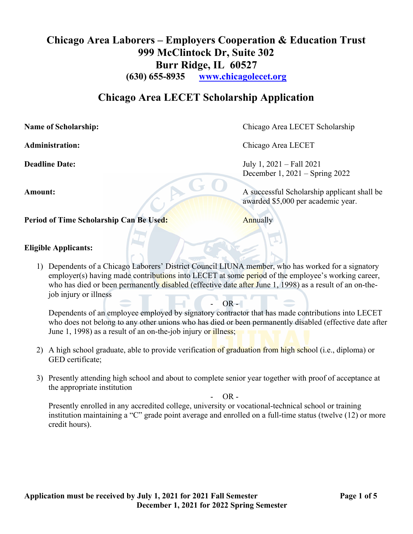# Chicago Area Laborers – Employers Cooperation & Education Trust 999 McClintock Dr, Suite 302 Burr Ridge, IL 60527

(630) 655-8935 www.chicagolecet.org

## Chicago Area LECET Scholarship Application

Name of Scholarship: Chicago Area LECET Scholarship

Period of Time Scholarship Can Be Used: Annually

## Eligible Applicants:

1) Dependents of a Chicago Laborers' District Council LIUNA member, who has worked for a signatory employer(s) having made contributions into LECET at some period of the employee's working career, who has died or been permanently disabled (effective date after June 1, 1998) as a result of an on-thejob injury or illness

 Dependents of an employee employed by signatory contractor that has made contributions into LECET who does not belong to any other unions who has died or been permanently disabled (effective date after June 1, 1998) as a result of an on-the-job injury or illness;

 $OR -$ 

- 2) A high school graduate, able to provide verification of graduation from high school (i.e., diploma) or GED certificate;
- 3) Presently attending high school and about to complete senior year together with proof of acceptance at the appropriate institution

 $OR$  -

 Presently enrolled in any accredited college, university or vocational-technical school or training institution maintaining a "C" grade point average and enrolled on a full-time status (twelve (12) or more credit hours).

Administration: Chicago Area LECET

Deadline Date: July 1, 2021 – Fall 2021

December 1, 2021 – Spring 2022<br>A successful School Amount: A successful Scholarship applicant shall be awarded \$5,000 per academic year.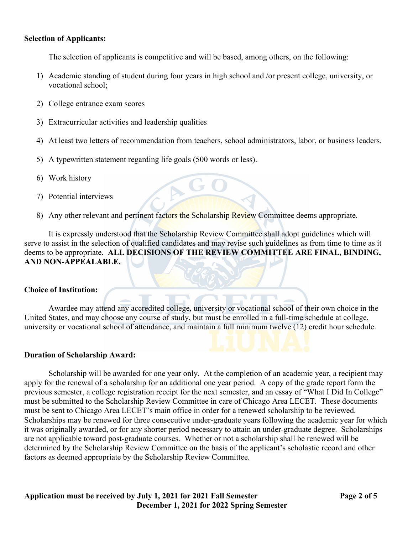### Selection of Applicants:

The selection of applicants is competitive and will be based, among others, on the following:

- 1) Academic standing of student during four years in high school and /or present college, university, or vocational school;
- 2) College entrance exam scores
- 3) Extracurricular activities and leadership qualities
- 4) At least two letters of recommendation from teachers, school administrators, labor, or business leaders.
- 5) A typewritten statement regarding life goals (500 words or less).
- 6) Work history
- 7) Potential interviews
- 8) Any other relevant and pertinent factors the Scholarship Review Committee deems appropriate.

AGO

 It is expressly understood that the Scholarship Review Committee shall adopt guidelines which will serve to assist in the selection of qualified candidates and may revise such guidelines as from time to time as it deems to be appropriate. ALL DECISIONS OF THE REVIEW COMMITTEE ARE FINAL, BINDING, AND NON-APPEALABLE.

#### Choice of Institution:

 Awardee may attend any accredited college, university or vocational school of their own choice in the United States, and may choose any course of study, but must be enrolled in a full-time schedule at college, university or vocational school of attendance, and maintain a full minimum twelve (12) credit hour schedule.

#### Duration of Scholarship Award:

 Scholarship will be awarded for one year only. At the completion of an academic year, a recipient may apply for the renewal of a scholarship for an additional one year period. A copy of the grade report form the previous semester, a college registration receipt for the next semester, and an essay of "What I Did In College" must be submitted to the Scholarship Review Committee in care of Chicago Area LECET. These documents must be sent to Chicago Area LECET's main office in order for a renewed scholarship to be reviewed. Scholarships may be renewed for three consecutive under-graduate years following the academic year for which it was originally awarded, or for any shorter period necessary to attain an under-graduate degree. Scholarships are not applicable toward post-graduate courses. Whether or not a scholarship shall be renewed will be determined by the Scholarship Review Committee on the basis of the applicant's scholastic record and other factors as deemed appropriate by the Scholarship Review Committee.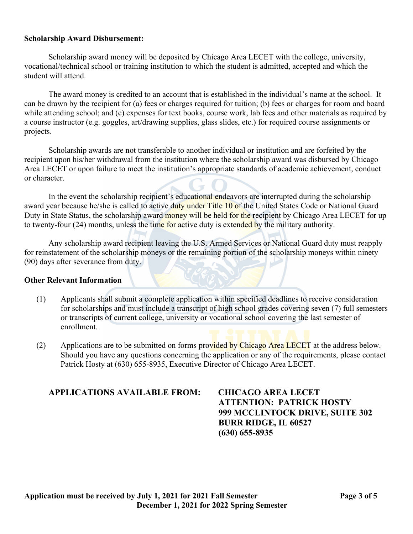### Scholarship Award Disbursement:

Scholarship award money will be deposited by Chicago Area LECET with the college, university, vocational/technical school or training institution to which the student is admitted, accepted and which the student will attend.

 The award money is credited to an account that is established in the individual's name at the school. It can be drawn by the recipient for (a) fees or charges required for tuition; (b) fees or charges for room and board while attending school; and (c) expenses for text books, course work, lab fees and other materials as required by a course instructor (e.g. goggles, art/drawing supplies, glass slides, etc.) for required course assignments or projects.

 Scholarship awards are not transferable to another individual or institution and are forfeited by the recipient upon his/her withdrawal from the institution where the scholarship award was disbursed by Chicago Area LECET or upon failure to meet the institution's appropriate standards of academic achievement, conduct or character.

In the event the scholarship recipient's educational endeavors are interrupted during the scholarship award year because he/she is called to active duty under Title 10 of the United States Code or National Guard Duty in State Status, the scholarship award money will be held for the recipient by Chicago Area LECET for up to twenty-four (24) months, unless the time for active duty is extended by the military authority.

 Any scholarship award recipient leaving the U.S. Armed Services or National Guard duty must reapply for reinstatement of the scholarship moneys or the remaining portion of the scholarship moneys within ninety (90) days after severance from duty.

#### Other Relevant Information

- (1) Applicants shall submit a complete application within specified deadlines to receive consideration for scholarships and must include a transcript of high school grades covering seven (7) full semesters or transcripts of current college, university or vocational school covering the last semester of enrollment.
- (2) Applications are to be submitted on forms provided by Chicago Area LECET at the address below. Should you have any questions concerning the application or any of the requirements, please contact Patrick Hosty at (630) 655-8935, Executive Director of Chicago Area LECET.

## APPLICATIONS AVAILABLE FROM: CHICAGO AREA LECET

 ATTENTION: PATRICK HOSTY 999 MCCLINTOCK DRIVE, SUITE 302 BURR RIDGE, IL 60527 (630) 655-8935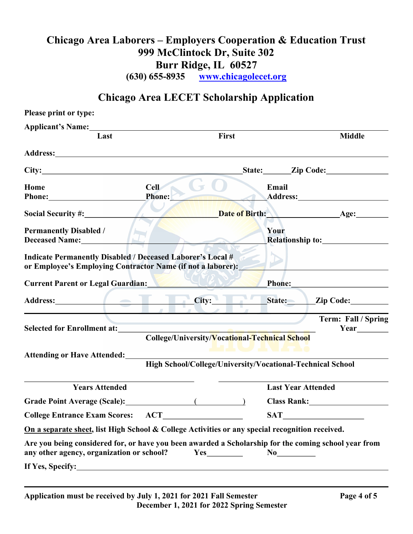# Chicago Area Laborers – Employers Cooperation & Education Trust 999 McClintock Dr, Suite 302 Burr Ridge, IL 60527

(630) 655-8935 www.chicagolecet.org

# Chicago Area LECET Scholarship Application

| Please print or type:                                                                                                            |                                                                                                      |                                |  |
|----------------------------------------------------------------------------------------------------------------------------------|------------------------------------------------------------------------------------------------------|--------------------------------|--|
| Applicant's Name: 1986<br>Last                                                                                                   | First                                                                                                | <b>Middle</b>                  |  |
|                                                                                                                                  |                                                                                                      |                                |  |
| Address: 1988 and 2008 and 2008 and 2008 and 2008 and 2008 and 2008 and 2008 and 2008 and 2008 and 2008 and 20                   |                                                                                                      |                                |  |
|                                                                                                                                  |                                                                                                      | State: <u>Zip Code:</u>        |  |
| <b>Cell</b><br>Home                                                                                                              | Email                                                                                                |                                |  |
| Phone:                                                                                                                           |                                                                                                      | Address: Andreas Address:      |  |
|                                                                                                                                  |                                                                                                      | Date of Birth: All Age: Age:   |  |
| <b>Permanently Disabled /</b>                                                                                                    | Your                                                                                                 |                                |  |
| Deceased Name:                                                                                                                   |                                                                                                      |                                |  |
| <b>Indicate Permanently Disabled / Deceased Laborer's Local #</b><br>or Employee's Employing Contractor Name (if not a laborer): |                                                                                                      |                                |  |
| <b>Current Parent or Legal Guardian:</b>                                                                                         |                                                                                                      |                                |  |
|                                                                                                                                  | Address: <u>City: City: State: Zip Code:</u>                                                         |                                |  |
|                                                                                                                                  |                                                                                                      | Term: Fall / Spring            |  |
| <b>Selected for Enrollment at:</b>                                                                                               | College/University/Vocational-Technical School                                                       |                                |  |
|                                                                                                                                  | ---------                                                                                            |                                |  |
| <b>Attending or Have Attended:</b>                                                                                               | High School/College/University/Vocational-Technical School                                           |                                |  |
|                                                                                                                                  |                                                                                                      |                                |  |
| <b>Years Attended</b>                                                                                                            | <b>Last Year Attended</b>                                                                            |                                |  |
|                                                                                                                                  |                                                                                                      | <b>Class Rank:</b> Class Rank: |  |
| <b>College Entrance Exam Scores:</b><br><b>ACT</b>                                                                               | <b>SAT</b>                                                                                           |                                |  |
|                                                                                                                                  | On a separate sheet, list High School & College Activities or any special recognition received.      |                                |  |
| any other agency, organization or school?                                                                                        | Are you being considered for, or have you been awarded a Scholarship for the coming school year from |                                |  |
|                                                                                                                                  |                                                                                                      |                                |  |
|                                                                                                                                  |                                                                                                      |                                |  |

֦